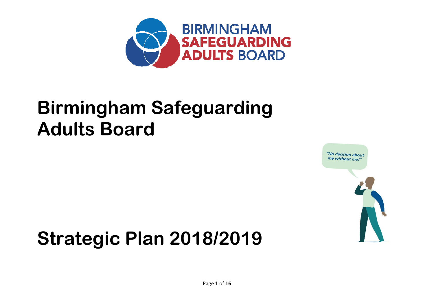

# Birmingham Safeguarding Adults Board



# Strategic Plan 2018/2019

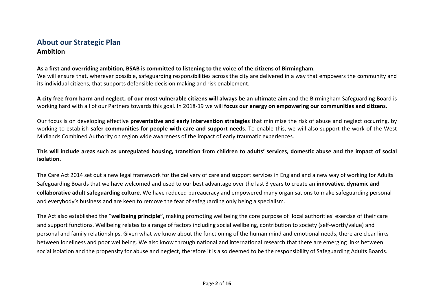## About our Strategic PlanAmbition

#### As a first and overriding ambition, BSAB is committed to listening to the voice of the citizens of Birmingham.

We will ensure that, wherever possible, safeguarding responsibilities across the city are delivered in a way that empowers the community and its individual citizens, that supports defensible decision making and risk enablement.

A city free from harm and neglect, of our most vulnerable citizens will always be an ultimate aim and the Birmingham Safeguarding Board is working hard with all of our Partners towards this goal. In 2018-19 we will focus our energy on empowering our communities and citizens.

Our focus is on developing effective **preventative and early intervention strategies** that minimize the risk of abuse and neglect occurring, by working to establish safer communities for people with care and support needs. To enable this, we will also support the work of the West Midlands Combined Authority on region wide awareness of the impact of early traumatic experiences.

This will include areas such as unregulated housing, transition from children to adults' services, domestic abuse and the impact of social isolation.

The Care Act 2014 set out a new legal framework for the delivery of care and support services in England and a new way of working for Adults Safeguarding Boards that we have welcomed and used to our best advantage over the last 3 years to create an innovative, dynamic and collaborative adult safeguarding culture. We have reduced bureaucracy and empowered many organisations to make safeguarding personal and everybody's business and are keen to remove the fear of safeguarding only being a specialism.

The Act also established the "**wellbeing principle",** making promoting wellbeing the core purpose of local authorities' exercise of their care and support functions. Wellbeing relates to a range of factors including social wellbeing, contribution to society (self-worth/value) and personal and family relationships. Given what we know about the functioning of the human mind and emotional needs, there are clear links between loneliness and poor wellbeing. We also know through national and international research that there are emerging links between social isolation and the propensity for abuse and neglect, therefore it is also deemed to be the responsibility of Safeguarding Adults Boards.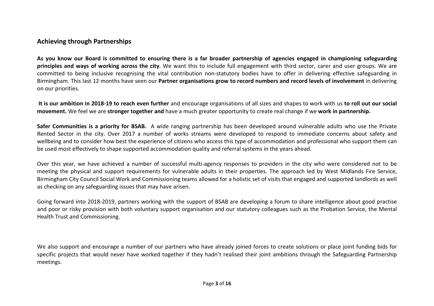## Achieving through Partnerships

As you know our Board is committed to ensuring there is a far broader partnership of agencies engaged in championing safeguarding principles and ways of working across the city. We want this to include full engagement with third sector, carer and user groups. We are committed to being inclusive recognising the vital contribution non-statutory bodies have to offer in delivering effective safeguarding in Birmingham. This last 12 months have seen our Partner organisations grow to record numbers and record levels of involvement in delivering on our priorities.

It is our ambition in 2018-19 to reach even further and encourage organisations of all sizes and shapes to work with us to roll out our social movement. We feel we are stronger together and have a much greater opportunity to create real change if we work in partnership.

Safer Communities is a priority for BSAB. A wide ranging partnership has been developed around vulnerable adults who use the Private Rented Sector in the city. Over 2017 a number of works streams were developed to respond to immediate concerns about safety and wellbeing and to consider how best the experience of citizens who access this type of accommodation and professional who support them can be used most effectively to shape supported accommodation quality and referral systems in the years ahead.

Over this year, we have achieved a number of successful multi-agency responses to providers in the city who were considered not to be meeting the physical and support requirements for vulnerable adults in their properties. The approach led by West Midlands Fire Service, Birmingham City Council Social Work and Commissioning teams allowed for a holistic set of visits that engaged and supported landlords as well as checking on any safeguarding issues that may have arisen.

Going forward into 2018-2019, partners working with the support of BSAB are developing a forum to share intelligence about good practise and poor or risky provision with both voluntary support organisation and our statutory colleagues such as the Probation Service, the Mental Health Trust and Commissioning.

We also support and encourage a number of our partners who have already joined forces to create solutions or place joint funding bids for specific projects that would never have worked together if they hadn't realised their joint ambitions through the Safeguarding Partnership meetings.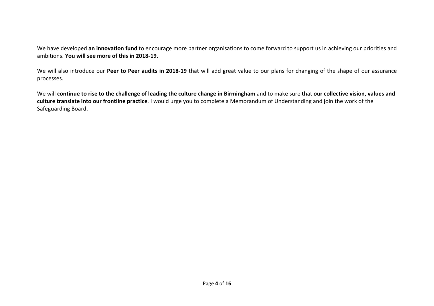We have developed **an innovation fund** to encourage more partner organisations to come forward to support us in achieving our priorities and ambitions. You will see more of this in 2018-19.

We will also introduce our Peer to Peer audits in 2018-19 that will add great value to our plans for changing of the shape of our assurance processes.

We will continue to rise to the challenge of leading the culture change in Birmingham and to make sure that our collective vision, values and culture translate into our frontline practice. I would urge you to complete a Memorandum of Understanding and join the work of the Safeguarding Board.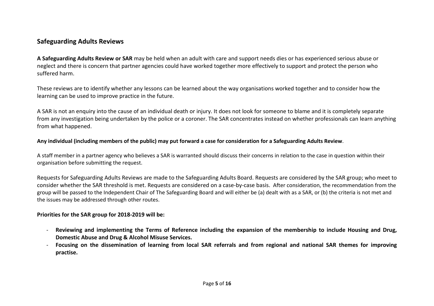### Safeguarding Adults Reviews

A Safeguarding Adults Review or SAR may be held when an adult with care and support needs dies or has experienced serious abuse or neglect and there is concern that partner agencies could have worked together more effectively to support and protect the person who suffered harm.

These reviews are to identify whether any lessons can be learned about the way organisations worked together and to consider how the learning can be used to improve practice in the future.

A SAR is not an enquiry into the cause of an individual death or injury. It does not look for someone to blame and it is completely separate from any investigation being undertaken by the police or a coroner. The SAR concentrates instead on whether professionals can learn anything from what happened.

#### Any individual (including members of the public) may put forward a case for consideration for a Safeguarding Adults Review.

A staff member in a partner agency who believes a SAR is warranted should discuss their concerns in relation to the case in question within their organisation before submitting the request.

Requests for Safeguarding Adults Reviews are made to the Safeguarding Adults Board. Requests are considered by the SAR group; who meet to consider whether the SAR threshold is met. Requests are considered on a case-by-case basis. After consideration, the recommendation from the group will be passed to the Independent Chair of The Safeguarding Board and will either be (a) dealt with as a SAR, or (b) the criteria is not met and the issues may be addressed through other routes.

#### Priorities for the SAR group for 2018-2019 will be:

- Reviewing and implementing the Terms of Reference including the expansion of the membership to include Housing and Drug, Domestic Abuse and Drug & Alcohol Misuse Services.
- Focusing on the dissemination of learning from local SAR referrals and from regional and national SAR themes for improving practise.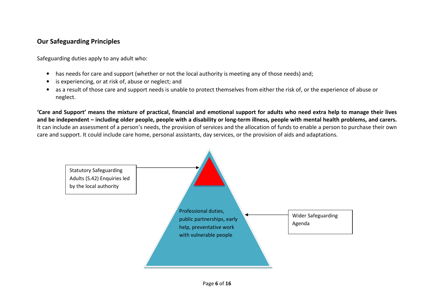## Our Safeguarding Principles

Safeguarding duties apply to any adult who:

- has needs for care and support (whether or not the local authority is meeting any of those needs) and;
- is experiencing, or at risk of, abuse or neglect; and
- as a result of those care and support needs is unable to protect themselves from either the risk of, or the experience of abuse or neglect.

'Care and Support' means the mixture of practical, financial and emotional support for adults who need extra help to manage their lives and be independent – including older people, people with a disability or long-term illness, people with mental health problems, and carers. It can include an assessment of a person's needs, the provision of services and the allocation of funds to enable a person to purchase their own care and support. It could include care home, personal assistants, day services, or the provision of aids and adaptations.

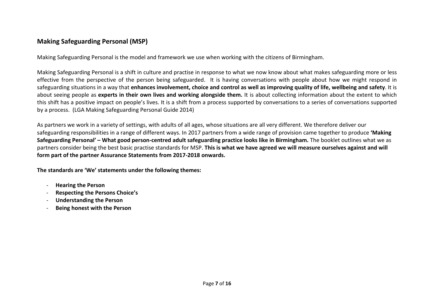## Making Safeguarding Personal (MSP)

Making Safeguarding Personal is the model and framework we use when working with the citizens of Birmingham.

Making Safeguarding Personal is a shift in culture and practise in response to what we now know about what makes safeguarding more or less effective from the perspective of the person being safeguarded. It is having conversations with people about how we might respond in safeguarding situations in a way that enhances involvement, choice and control as well as improving quality of life, wellbeing and safety. It is about seeing people as experts in their own lives and working alongside them. It is about collecting information about the extent to which this shift has a positive impact on people's lives. It is a shift from a process supported by conversations to a series of conversations supported by a process. (LGA Making Safeguarding Personal Guide 2014)

As partners we work in a variety of settings, with adults of all ages, whose situations are all very different. We therefore deliver our safeguarding responsibilities in a range of different ways. In 2017 partners from a wide range of provision came together to produce 'Making Safeguarding Personal' – What good person-centred adult safeguarding practice looks like in Birmingham. The booklet outlines what we as partners consider being the best basic practise standards for MSP. This is what we have agreed we will measure ourselves against and will form part of the partner Assurance Statements from 2017-2018 onwards.

The standards are 'We' statements under the following themes:

- Hearing the Person
- Respecting the Persons Choice's
- Understanding the Person
- Being honest with the Person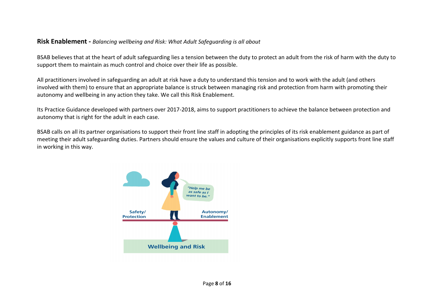#### Risk Enablement - Balancing wellbeing and Risk: What Adult Safeguarding is all about

BSAB believes that at the heart of adult safeguarding lies a tension between the duty to protect an adult from the risk of harm with the duty to support them to maintain as much control and choice over their life as possible.

All practitioners involved in safeguarding an adult at risk have a duty to understand this tension and to work with the adult (and others involved with them) to ensure that an appropriate balance is struck between managing risk and protection from harm with promoting their autonomy and wellbeing in any action they take. We call this Risk Enablement.

Its Practice Guidance developed with partners over 2017-2018, aims to support practitioners to achieve the balance between protection and autonomy that is right for the adult in each case.

BSAB calls on all its partner organisations to support their front line staff in adopting the principles of its risk enablement guidance as part of meeting their adult safeguarding duties. Partners should ensure the values and culture of their organisations explicitly supports front line staff in working in this way.

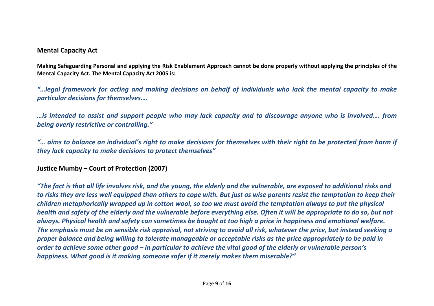#### Mental Capacity Act

Making Safeguarding Personal and applying the Risk Enablement Approach cannot be done properly without applying the principles of the Mental Capacity Act. The Mental Capacity Act 2005 is:

"…legal framework for acting and making decisions on behalf of individuals who lack the mental capacity to make particular decisions for themselves….

…is intended to assist and support people who may lack capacity and to discourage anyone who is involved…. from being overly restrictive or controlling."

"… aims to balance an individual's right to make decisions for themselves with their right to be protected from harm if they lack capacity to make decisions to protect themselves"

## Justice Mumby – Court of Protection (2007)

"The fact is that all life involves risk, and the young, the elderly and the vulnerable, are exposed to additional risks and to risks they are less well equipped than others to cope with. But just as wise parents resist the temptation to keep their children metaphorically wrapped up in cotton wool, so too we must avoid the temptation always to put the physical health and safety of the elderly and the vulnerable before everything else. Often it will be appropriate to do so, but not always. Physical health and safety can sometimes be bought at too high a price in happiness and emotional welfare. The emphasis must be on sensible risk appraisal, not striving to avoid all risk, whatever the price, but instead seeking a proper balance and being willing to tolerate manageable or acceptable risks as the price appropriately to be paid in order to achieve some other good – in particular to achieve the vital good of the elderly or vulnerable person's happiness. What good is it making someone safer if it merely makes them miserable?"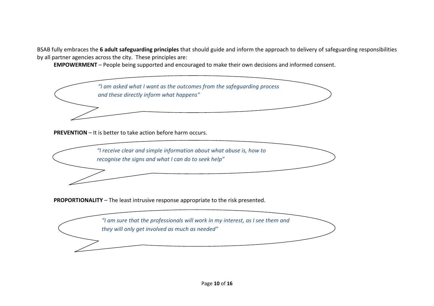BSAB fully embraces the 6 adult safeguarding principles that should guide and inform the approach to delivery of safeguarding responsibilities by all partner agencies across the city. These principles are:

EMPOWERMENT – People being supported and encouraged to make their own decisions and informed consent.



PREVENTION – It is better to take action before harm occurs.



PROPORTIONALITY – The least intrusive response appropriate to the risk presented.

"I am sure that the professionals will work in my interest, as I see them and they will only get involved as much as needed"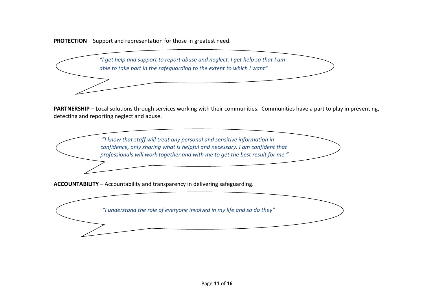PROTECTION – Support and representation for those in greatest need.



PARTNERSHIP – Local solutions through services working with their communities. Communities have a part to play in preventing, detecting and reporting neglect and abuse.

> "I know that staff will treat any personal and sensitive information in confidence, only sharing what is helpful and necessary. I am confident that professionals will work together and with me to get the best result for me."

ACCOUNTABILITY – Accountability and transparency in delivering safeguarding.

"I understand the role of everyone involved in my life and so do they"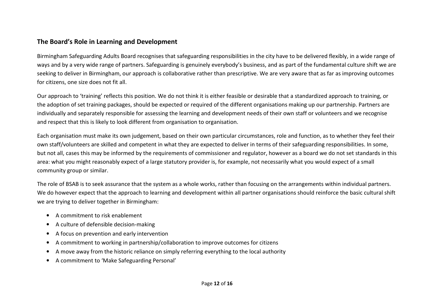### The Board's Role in Learning and Development

Birmingham Safeguarding Adults Board recognises that safeguarding responsibilities in the city have to be delivered flexibly, in a wide range of ways and by a very wide range of partners. Safeguarding is genuinely everybody's business, and as part of the fundamental culture shift we are seeking to deliver in Birmingham, our approach is collaborative rather than prescriptive. We are very aware that as far as improving outcomes for citizens, one size does not fit all.

Our approach to 'training' reflects this position. We do not think it is either feasible or desirable that a standardized approach to training, or the adoption of set training packages, should be expected or required of the different organisations making up our partnership. Partners are individually and separately responsible for assessing the learning and development needs of their own staff or volunteers and we recognise and respect that this is likely to look different from organisation to organisation.

Each organisation must make its own judgement, based on their own particular circumstances, role and function, as to whether they feel their own staff/volunteers are skilled and competent in what they are expected to deliver in terms of their safeguarding responsibilities. In some, but not all, cases this may be informed by the requirements of commissioner and regulator, however as a board we do not set standards in this area: what you might reasonably expect of a large statutory provider is, for example, not necessarily what you would expect of a small community group or similar.

The role of BSAB is to seek assurance that the system as a whole works, rather than focusing on the arrangements within individual partners. We do however expect that the approach to learning and development within all partner organisations should reinforce the basic cultural shift we are trying to deliver together in Birmingham:

- A commitment to risk enablement
- A culture of defensible decision-making
- A focus on prevention and early intervention
- A commitment to working in partnership/collaboration to improve outcomes for citizens
- A move away from the historic reliance on simply referring everything to the local authority
- A commitment to 'Make Safeguarding Personal'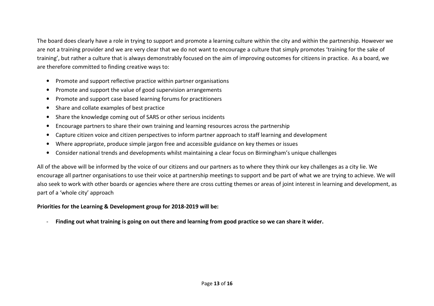The board does clearly have a role in trying to support and promote a learning culture within the city and within the partnership. However we are not a training provider and we are very clear that we do not want to encourage a culture that simply promotes 'training for the sake of training', but rather a culture that is always demonstrably focused on the aim of improving outcomes for citizens in practice. As a board, we are therefore committed to finding creative ways to:

- Promote and support reflective practice within partner organisations
- Promote and support the value of good supervision arrangements
- $\bullet$ Promote and support case based learning forums for practitioners
- Share and collate examples of best practice
- Share the knowledge coming out of SARS or other serious incidents
- •Encourage partners to share their own training and learning resources across the partnership
- Capture citizen voice and citizen perspectives to inform partner approach to staff learning and development
- Where appropriate, produce simple jargon free and accessible guidance on key themes or issues
- Consider national trends and developments whilst maintaining a clear focus on Birmingham's unique challenges

All of the above will be informed by the voice of our citizens and our partners as to where they think our key challenges as a city lie. We encourage all partner organisations to use their voice at partnership meetings to support and be part of what we are trying to achieve. We will also seek to work with other boards or agencies where there are cross cutting themes or areas of joint interest in learning and development, as part of a 'whole city' approach

#### Priorities for the Learning & Development group for 2018-2019 will be:

Finding out what training is going on out there and learning from good practice so we can share it wider.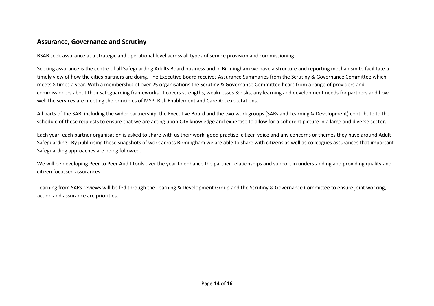#### Assurance, Governance and Scrutiny

BSAB seek assurance at a strategic and operational level across all types of service provision and commissioning.

Seeking assurance is the centre of all Safeguarding Adults Board business and in Birmingham we have a structure and reporting mechanism to facilitate a timely view of how the cities partners are doing. The Executive Board receives Assurance Summaries from the Scrutiny & Governance Committee which meets 8 times a year. With a membership of over 25 organisations the Scrutiny & Governance Committee hears from a range of providers and commissioners about their safeguarding frameworks. It covers strengths, weaknesses & risks, any learning and development needs for partners and how well the services are meeting the principles of MSP, Risk Enablement and Care Act expectations.

All parts of the SAB, including the wider partnership, the Executive Board and the two work groups (SARs and Learning & Development) contribute to the schedule of these requests to ensure that we are acting upon City knowledge and expertise to allow for a coherent picture in a large and diverse sector.

Each year, each partner organisation is asked to share with us their work, good practise, citizen voice and any concerns or themes they have around Adult Safeguarding. By publicising these snapshots of work across Birmingham we are able to share with citizens as well as colleagues assurances that important Safeguarding approaches are being followed.

We will be developing Peer to Peer Audit tools over the year to enhance the partner relationships and support in understanding and providing quality and citizen focussed assurances.

Learning from SARs reviews will be fed through the Learning & Development Group and the Scrutiny & Governance Committee to ensure joint working, action and assurance are priorities.